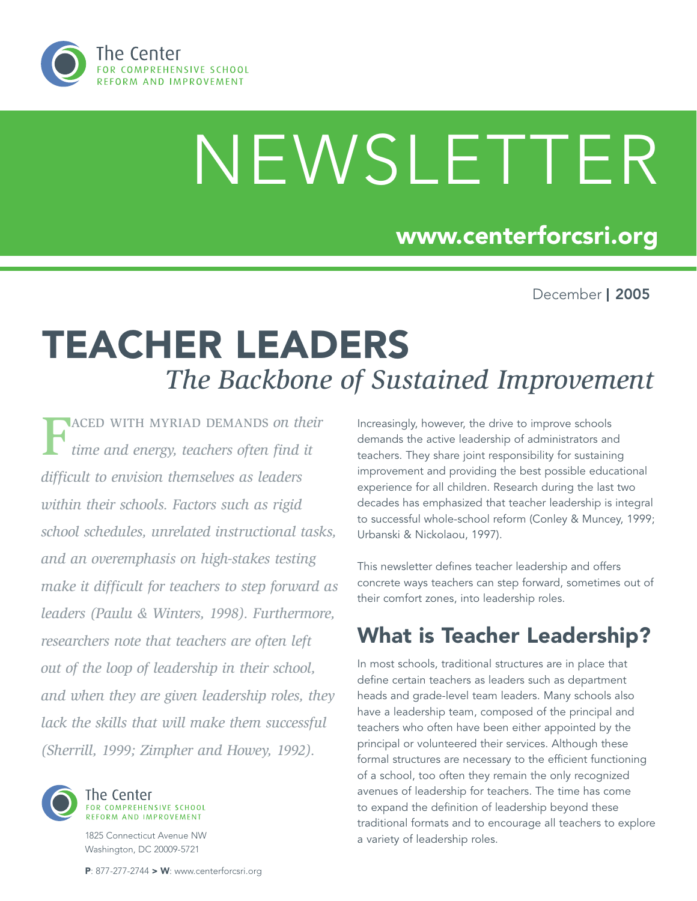

# NEWSLETTER

## www.centerforcsri.org

December | 2005

## Teacher Leaders *The Backbone of Sustained Improvement*

Faced with myriad demands *on their time and energy, teachers often find it difficult to envision themselves as leaders within their schools. Factors such as rigid school schedules, unrelated instructional tasks, and an overemphasis on high-stakes testing make it difficult for teachers to step forward as leaders (Paulu & Winters, 1998). Furthermore, researchers note that teachers are often left out of the loop of leadership in their school, and when they are given leadership roles, they lack the skills that will make them successful (Sherrill, 1999; Zimpher and Howey, 1992).* 



1825 Connecticut Avenue NW Washington, DC 20009-5721

Increasingly, however, the drive to improve schools demands the active leadership of administrators and teachers. They share joint responsibility for sustaining improvement and providing the best possible educational experience for all children. Research during the last two decades has emphasized that teacher leadership is integral to successful whole-school reform (Conley & Muncey, 1999; Urbanski & Nickolaou, 1997).

This newsletter defines teacher leadership and offers concrete ways teachers can step forward, sometimes out of their comfort zones, into leadership roles.

## What is Teacher Leadership?

In most schools, traditional structures are in place that define certain teachers as leaders such as department heads and grade-level team leaders. Many schools also have a leadership team, composed of the principal and teachers who often have been either appointed by the principal or volunteered their services. Although these formal structures are necessary to the efficient functioning of a school, too often they remain the only recognized avenues of leadership for teachers. The time has come to expand the definition of leadership beyond these traditional formats and to encourage all teachers to explore a variety of leadership roles.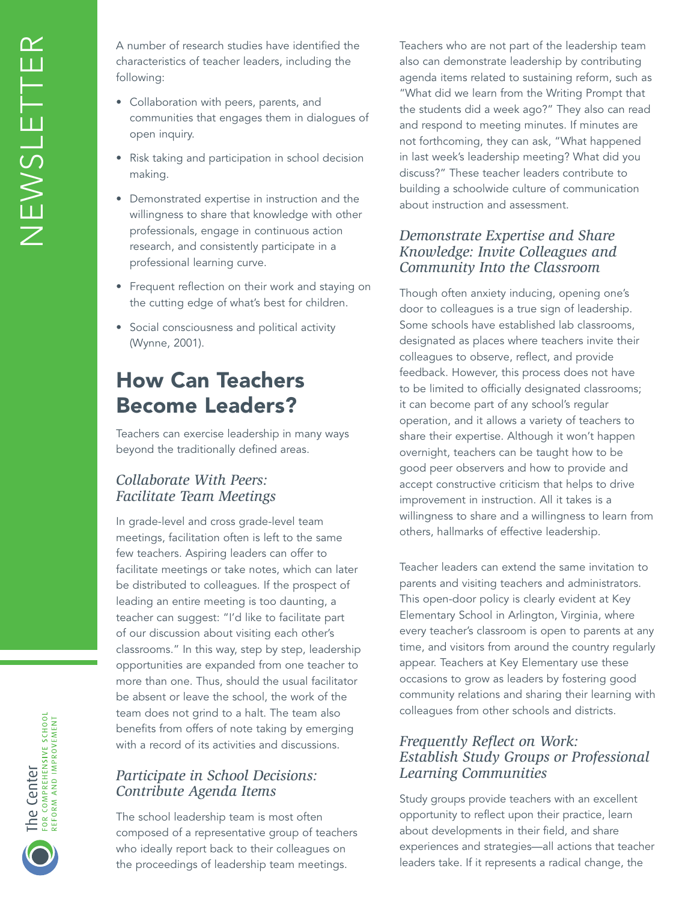A number of research studies have identified the characteristics of teacher leaders, including the following:

- Collaboration with peers, parents, and communities that engages them in dialogues of open inquiry.
- Risk taking and participation in school decision making.
- Demonstrated expertise in instruction and the willingness to share that knowledge with other professionals, engage in continuous action research, and consistently participate in a professional learning curve.
- Frequent reflection on their work and staying on the cutting edge of what's best for children.
- Social consciousness and political activity (Wynne, 2001).

## How Can Teachers Become Leaders?

Teachers can exercise leadership in many ways beyond the traditionally defined areas.

#### *Collaborate With Peers: Facilitate Team Meetings*

In grade-level and cross grade-level team meetings, facilitation often is left to the same few teachers. Aspiring leaders can offer to facilitate meetings or take notes, which can later be distributed to colleagues. If the prospect of leading an entire meeting is too daunting, a teacher can suggest: "I'd like to facilitate part of our discussion about visiting each other's classrooms." In this way, step by step, leadership opportunities are expanded from one teacher to more than one. Thus, should the usual facilitator be absent or leave the school, the work of the team does not grind to a halt. The team also benefits from offers of note taking by emerging with a record of its activities and discussions.

#### *Participate in School Decisions: Contribute Agenda Items*

The school leadership team is most often composed of a representative group of teachers who ideally report back to their colleagues on the proceedings of leadership team meetings.

Teachers who are not part of the leadership team also can demonstrate leadership by contributing agenda items related to sustaining reform, such as "What did we learn from the Writing Prompt that the students did a week ago?" They also can read and respond to meeting minutes. If minutes are not forthcoming, they can ask, "What happened in last week's leadership meeting? What did you discuss?" These teacher leaders contribute to building a schoolwide culture of communication about instruction and assessment.

#### *Demonstrate Expertise and Share Knowledge: Invite Colleagues and Community Into the Classroom*

Though often anxiety inducing, opening one's door to colleagues is a true sign of leadership. Some schools have established lab classrooms, designated as places where teachers invite their colleagues to observe, reflect, and provide feedback. However, this process does not have to be limited to officially designated classrooms; it can become part of any school's regular operation, and it allows a variety of teachers to share their expertise. Although it won't happen overnight, teachers can be taught how to be good peer observers and how to provide and accept constructive criticism that helps to drive improvement in instruction. All it takes is a willingness to share and a willingness to learn from others, hallmarks of effective leadership.

Teacher leaders can extend the same invitation to parents and visiting teachers and administrators. This open-door policy is clearly evident at Key Elementary School in Arlington, Virginia, where every teacher's classroom is open to parents at any time, and visitors from around the country regularly appear. Teachers at Key Elementary use these occasions to grow as leaders by fostering good community relations and sharing their learning with colleagues from other schools and districts.

#### *Frequently Reflect on Work: Establish Study Groups or Professional Learning Communities*

Study groups provide teachers with an excellent opportunity to reflect upon their practice, learn about developments in their field, and share experiences and strategies—all actions that teacher leaders take. If it represents a radical change, the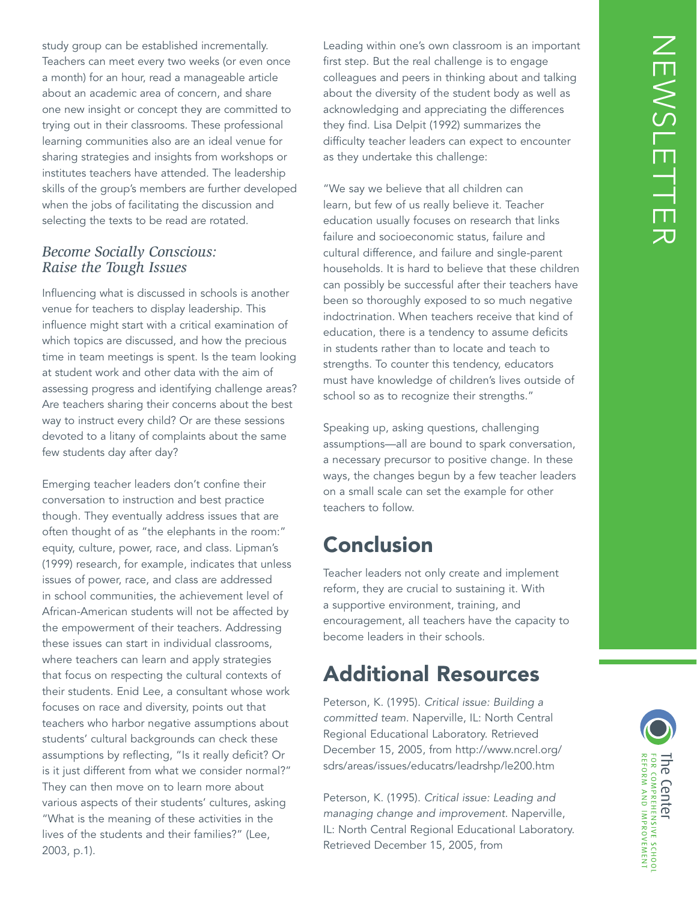study group can be established incrementally. Teachers can meet every two weeks (or even once a month) for an hour, read a manageable article about an academic area of concern, and share one new insight or concept they are committed to trying out in their classrooms. These professional learning communities also are an ideal venue for sharing strategies and insights from workshops or institutes teachers have attended. The leadership skills of the group's members are further developed when the jobs of facilitating the discussion and selecting the texts to be read are rotated.

#### *Become Socially Conscious: Raise the Tough Issues*

Influencing what is discussed in schools is another venue for teachers to display leadership. This influence might start with a critical examination of which topics are discussed, and how the precious time in team meetings is spent. Is the team looking at student work and other data with the aim of assessing progress and identifying challenge areas? Are teachers sharing their concerns about the best way to instruct every child? Or are these sessions devoted to a litany of complaints about the same few students day after day?

Emerging teacher leaders don't confine their conversation to instruction and best practice though. They eventually address issues that are often thought of as "the elephants in the room:" equity, culture, power, race, and class. Lipman's (1999) research, for example, indicates that unless issues of power, race, and class are addressed in school communities, the achievement level of African-American students will not be affected by the empowerment of their teachers. Addressing these issues can start in individual classrooms, where teachers can learn and apply strategies that focus on respecting the cultural contexts of their students. Enid Lee, a consultant whose work focuses on race and diversity, points out that teachers who harbor negative assumptions about students' cultural backgrounds can check these assumptions by reflecting, "Is it really deficit? Or is it just different from what we consider normal?" They can then move on to learn more about various aspects of their students' cultures, asking "What is the meaning of these activities in the lives of the students and their families?" (Lee, 2003, p.1).

Leading within one's own classroom is an important first step. But the real challenge is to engage colleagues and peers in thinking about and talking about the diversity of the student body as well as acknowledging and appreciating the differences they find. Lisa Delpit (1992) summarizes the difficulty teacher leaders can expect to encounter as they undertake this challenge:

"We say we believe that all children can learn, but few of us really believe it. Teacher education usually focuses on research that links failure and socioeconomic status, failure and cultural difference, and failure and single-parent households. It is hard to believe that these children can possibly be successful after their teachers have been so thoroughly exposed to so much negative indoctrination. When teachers receive that kind of education, there is a tendency to assume deficits in students rather than to locate and teach to strengths. To counter this tendency, educators must have knowledge of children's lives outside of school so as to recognize their strengths."

Speaking up, asking questions, challenging assumptions—all are bound to spark conversation, a necessary precursor to positive change. In these ways, the changes begun by a few teacher leaders on a small scale can set the example for other teachers to follow.

## Conclusion

Teacher leaders not only create and implement reform, they are crucial to sustaining it. With a supportive environment, training, and encouragement, all teachers have the capacity to become leaders in their schools.

## Additional Resources

Peterson, K. (1995). *Critical issue: Building a committed team.* Naperville, IL: North Central Regional Educational Laboratory. Retrieved December 15, 2005, from http://www.ncrel.org/ sdrs/areas/issues/educatrs/leadrshp/le200.htm

Peterson, K. (1995). *Critical issue: Leading and managing change and improvement.* Naperville, IL: North Central Regional Educational Laboratory. Retrieved December 15, 2005, from